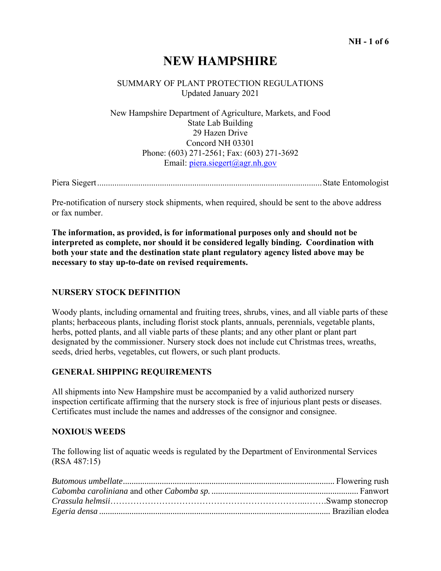# **NEW HAMPSHIRE**

### SUMMARY OF PLANT PROTECTION REGULATIONS Updated January 2021

 New Hampshire Department of Agriculture, Markets, and Food State Lab Building 29 Hazen Drive Concord NH 03301 Phone: (603) 271-2561; Fax: (603) 271-3692 Email: piera.siegert@agr.nh.gov

Piera Siegert ........................................................................................................ State Entomologist

Pre-notification of nursery stock shipments, when required, should be sent to the above address or fax number.

**The information, as provided, is for informational purposes only and should not be interpreted as complete, nor should it be considered legally binding. Coordination with both your state and the destination state plant regulatory agency listed above may be necessary to stay up-to-date on revised requirements.** 

### **NURSERY STOCK DEFINITION**

Woody plants, including ornamental and fruiting trees, shrubs, vines, and all viable parts of these plants; herbaceous plants, including florist stock plants, annuals, perennials, vegetable plants, herbs, potted plants, and all viable parts of these plants; and any other plant or plant part designated by the commissioner. Nursery stock does not include cut Christmas trees, wreaths, seeds, dried herbs, vegetables, cut flowers, or such plant products.

#### **GENERAL SHIPPING REQUIREMENTS**

All shipments into New Hampshire must be accompanied by a valid authorized nursery inspection certificate affirming that the nursery stock is free of injurious plant pests or diseases. Certificates must include the names and addresses of the consignor and consignee.

#### **NOXIOUS WEEDS**

The following list of aquatic weeds is regulated by the Department of Environmental Services (RSA 487:15)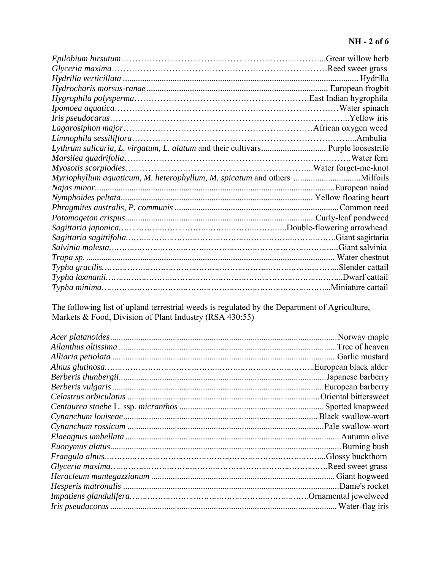# **NH - 2 of 6**

| Lythrum salicaria, L. virgatum, L. alatum and their cultivars Purple loosestrife |  |
|----------------------------------------------------------------------------------|--|
|                                                                                  |  |
|                                                                                  |  |
|                                                                                  |  |
|                                                                                  |  |
|                                                                                  |  |
|                                                                                  |  |
|                                                                                  |  |
|                                                                                  |  |
|                                                                                  |  |
|                                                                                  |  |
|                                                                                  |  |
|                                                                                  |  |
|                                                                                  |  |
|                                                                                  |  |

The following list of upland terrestrial weeds is regulated by the Department of Agriculture, Markets & Food, Division of Plant Industry (RSA 430:55)

| Tree of heaven.    |
|--------------------|
| Garlic mustard.    |
|                    |
| Japanese barberry. |
| European barberry. |
|                    |
| . Spotted knapweed |
|                    |
|                    |
|                    |
|                    |
|                    |
|                    |
|                    |
|                    |
|                    |
| Water-flag iris    |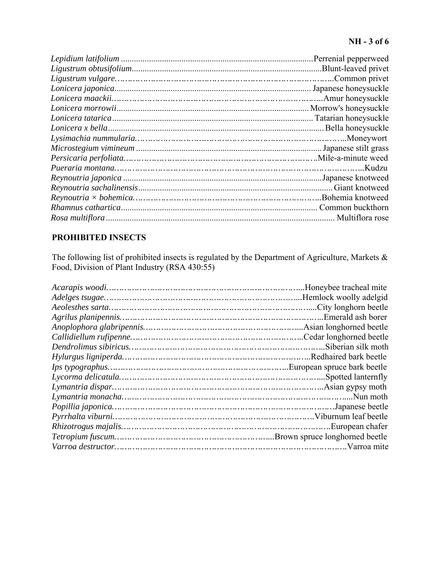## **NH - 3 of 6**

| Morrow's honeysuckle |
|----------------------|
| Tatarian honeysuckle |
|                      |
|                      |
|                      |
|                      |
|                      |
|                      |
|                      |
|                      |
|                      |
| . Multiflora rose    |
|                      |

# **PROHIBITED INSECTS**

The following list of prohibited insects is regulated by the Department of Agriculture, Markets & Food, Division of Plant Industry (RSA 430:55)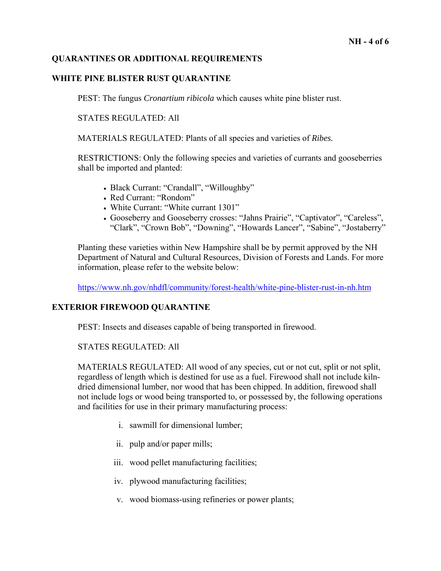### **QUARANTINES OR ADDITIONAL REQUIREMENTS**

### **WHITE PINE BLISTER RUST QUARANTINE**

PEST: The fungus *Cronartium ribicola* which causes white pine blister rust.

STATES REGULATED: All

MATERIALS REGULATED: Plants of all species and varieties of *Ribes.* 

RESTRICTIONS: Only the following species and varieties of currants and gooseberries shall be imported and planted:

- Black Currant: "Crandall", "Willoughby"
- Red Currant: "Rondom"
- White Currant: "White currant 1301"
- Gooseberry and Gooseberry crosses: "Jahns Prairie", "Captivator", "Careless", "Clark", "Crown Bob", "Downing", "Howards Lancer", "Sabine", "Jostaberry"

Planting these varieties within New Hampshire shall be by permit approved by the NH Department of Natural and Cultural Resources, Division of Forests and Lands. For more information, please refer to the website below:

https://www.nh.gov/nhdfl/community/forest-health/white-pine-blister-rust-in-nh.htm

### **EXTERIOR FIREWOOD QUARANTINE**

PEST: Insects and diseases capable of being transported in firewood.

#### STATES REGULATED: All

MATERIALS REGULATED: All wood of any species, cut or not cut, split or not split, regardless of length which is destined for use as a fuel. Firewood shall not include kilndried dimensional lumber, nor wood that has been chipped. In addition, firewood shall not include logs or wood being transported to, or possessed by, the following operations and facilities for use in their primary manufacturing process:

- i. sawmill for dimensional lumber;
- ii. pulp and/or paper mills;
- iii. wood pellet manufacturing facilities;
- iv. plywood manufacturing facilities;
- v. wood biomass-using refineries or power plants;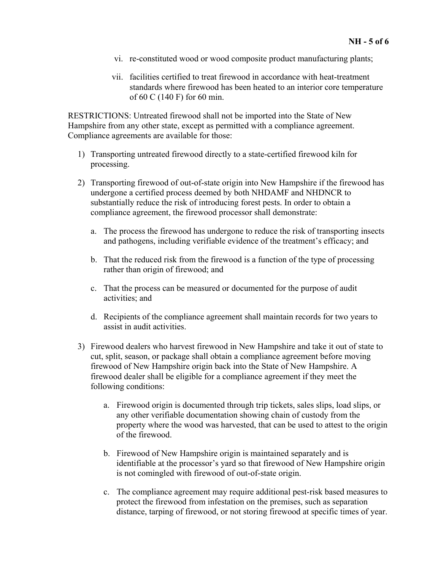- vi. re-constituted wood or wood composite product manufacturing plants;
- vii. facilities certified to treat firewood in accordance with heat-treatment standards where firewood has been heated to an interior core temperature of 60 C (140 F) for 60 min.

RESTRICTIONS: Untreated firewood shall not be imported into the State of New Hampshire from any other state, except as permitted with a compliance agreement. Compliance agreements are available for those:

- 1) Transporting untreated firewood directly to a state-certified firewood kiln for processing.
- 2) Transporting firewood of out-of-state origin into New Hampshire if the firewood has undergone a certified process deemed by both NHDAMF and NHDNCR to substantially reduce the risk of introducing forest pests. In order to obtain a compliance agreement, the firewood processor shall demonstrate:
	- a. The process the firewood has undergone to reduce the risk of transporting insects and pathogens, including verifiable evidence of the treatment's efficacy; and
	- b. That the reduced risk from the firewood is a function of the type of processing rather than origin of firewood; and
	- c. That the process can be measured or documented for the purpose of audit activities; and
	- d. Recipients of the compliance agreement shall maintain records for two years to assist in audit activities.
- 3) Firewood dealers who harvest firewood in New Hampshire and take it out of state to cut, split, season, or package shall obtain a compliance agreement before moving firewood of New Hampshire origin back into the State of New Hampshire. A firewood dealer shall be eligible for a compliance agreement if they meet the following conditions:
	- a. Firewood origin is documented through trip tickets, sales slips, load slips, or any other verifiable documentation showing chain of custody from the property where the wood was harvested, that can be used to attest to the origin of the firewood.
	- b. Firewood of New Hampshire origin is maintained separately and is identifiable at the processor's yard so that firewood of New Hampshire origin is not comingled with firewood of out-of-state origin.
	- c. The compliance agreement may require additional pest-risk based measures to protect the firewood from infestation on the premises, such as separation distance, tarping of firewood, or not storing firewood at specific times of year.